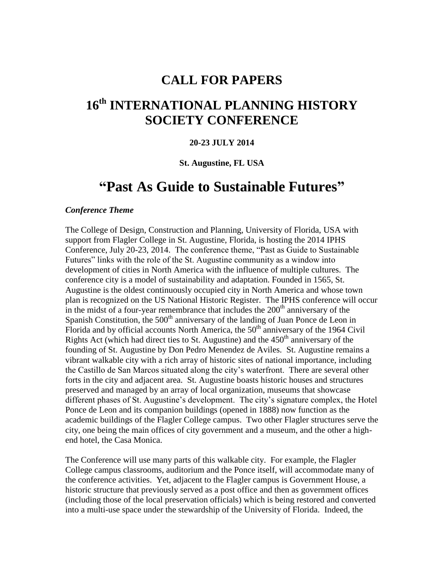## **CALL FOR PAPERS**

# **16 th INTERNATIONAL PLANNING HISTORY SOCIETY CONFERENCE**

#### **20-23 JULY 2014**

#### **St. Augustine, FL USA**

## **"Past As Guide to Sustainable Futures"**

#### *Conference Theme*

The College of Design, Construction and Planning, University of Florida, USA with support from Flagler College in St. Augustine, Florida, is hosting the 2014 IPHS Conference, July 20-23, 2014. The conference theme, "Past as Guide to Sustainable Futures" links with the role of the St. Augustine community as a window into development of cities in North America with the influence of multiple cultures. The conference city is a model of sustainability and adaptation. Founded in 1565, St. Augustine is the oldest continuously occupied city in North America and whose town plan is recognized on the US National Historic Register. The IPHS conference will occur in the midst of a four-year remembrance that includes the  $200<sup>th</sup>$  anniversary of the Spanish Constitution, the  $500<sup>th</sup>$  anniversary of the landing of Juan Ponce de Leon in Florida and by official accounts North America, the  $50<sup>th</sup>$  anniversary of the 1964 Civil Rights Act (which had direct ties to St. Augustine) and the  $450<sup>th</sup>$  anniversary of the founding of St. Augustine by Don Pedro Menendez de Aviles. St. Augustine remains a vibrant walkable city with a rich array of historic sites of national importance, including the Castillo de San Marcos situated along the city's waterfront. There are several other forts in the city and adjacent area. St. Augustine boasts historic houses and structures preserved and managed by an array of local organization, museums that showcase different phases of St. Augustine's development. The city's signature complex, the Hotel Ponce de Leon and its companion buildings (opened in 1888) now function as the academic buildings of the Flagler College campus. Two other Flagler structures serve the city, one being the main offices of city government and a museum, and the other a highend hotel, the Casa Monica.

The Conference will use many parts of this walkable city. For example, the Flagler College campus classrooms, auditorium and the Ponce itself, will accommodate many of the conference activities. Yet, adjacent to the Flagler campus is Government House, a historic structure that previously served as a post office and then as government offices (including those of the local preservation officials) which is being restored and converted into a multi-use space under the stewardship of the University of Florida. Indeed, the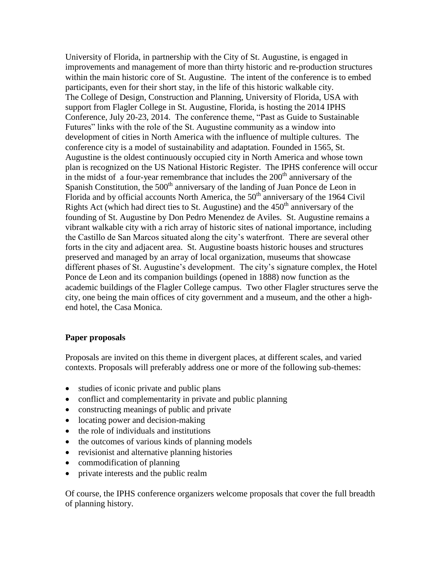University of Florida, in partnership with the City of St. Augustine, is engaged in improvements and management of more than thirty historic and re-production structures within the main historic core of St. Augustine. The intent of the conference is to embed participants, even for their short stay, in the life of this historic walkable city. The College of Design, Construction and Planning, University of Florida, USA with support from Flagler College in St. Augustine, Florida, is hosting the 2014 IPHS Conference, July 20-23, 2014. The conference theme, "Past as Guide to Sustainable Futures" links with the role of the St. Augustine community as a window into development of cities in North America with the influence of multiple cultures. The conference city is a model of sustainability and adaptation. Founded in 1565, St. Augustine is the oldest continuously occupied city in North America and whose town plan is recognized on the US National Historic Register. The IPHS conference will occur in the midst of a four-year remembrance that includes the  $200<sup>th</sup>$  anniversary of the Spanish Constitution, the  $500<sup>th</sup>$  anniversary of the landing of Juan Ponce de Leon in Florida and by official accounts North America, the  $50<sup>th</sup>$  anniversary of the 1964 Civil Rights Act (which had direct ties to St. Augustine) and the  $450<sup>th</sup>$  anniversary of the founding of St. Augustine by Don Pedro Menendez de Aviles. St. Augustine remains a vibrant walkable city with a rich array of historic sites of national importance, including the Castillo de San Marcos situated along the city's waterfront. There are several other forts in the city and adjacent area. St. Augustine boasts historic houses and structures preserved and managed by an array of local organization, museums that showcase different phases of St. Augustine's development. The city's signature complex, the Hotel Ponce de Leon and its companion buildings (opened in 1888) now function as the academic buildings of the Flagler College campus. Two other Flagler structures serve the city, one being the main offices of city government and a museum, and the other a highend hotel, the Casa Monica.

## **Paper proposals**

Proposals are invited on this theme in divergent places, at different scales, and varied contexts. Proposals will preferably address one or more of the following sub-themes:

- studies of iconic private and public plans
- conflict and complementarity in private and public planning
- constructing meanings of public and private
- locating power and decision-making
- the role of individuals and institutions
- the outcomes of various kinds of planning models
- revisionist and alternative planning histories
- commodification of planning
- private interests and the public realm

Of course, the IPHS conference organizers welcome proposals that cover the full breadth of planning history.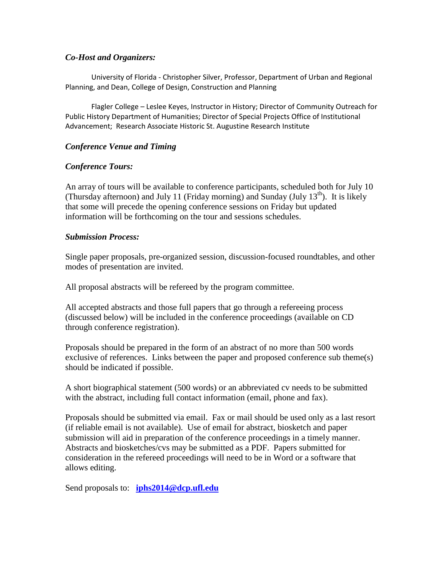#### *Co-Host and Organizers:*

University of Florida - Christopher Silver, Professor, Department of Urban and Regional Planning, and Dean, College of Design, Construction and Planning

Flagler College – Leslee Keyes, Instructor in History; Director of Community Outreach for Public History Department of Humanities; Director of Special Projects Office of Institutional Advancement; Research Associate Historic St. Augustine Research Institute

### *Conference Venue and Timing*

### *Conference Tours:*

An array of tours will be available to conference participants, scheduled both for July 10 (Thursday afternoon) and July 11 (Friday morning) and Sunday (July  $13<sup>th</sup>$ ). It is likely that some will precede the opening conference sessions on Friday but updated information will be forthcoming on the tour and sessions schedules.

### *Submission Process:*

Single paper proposals, pre-organized session, discussion-focused roundtables, and other modes of presentation are invited.

All proposal abstracts will be refereed by the program committee.

All accepted abstracts and those full papers that go through a refereeing process (discussed below) will be included in the conference proceedings (available on CD through conference registration).

Proposals should be prepared in the form of an abstract of no more than 500 words exclusive of references. Links between the paper and proposed conference sub theme(s) should be indicated if possible.

A short biographical statement (500 words) or an abbreviated cv needs to be submitted with the abstract, including full contact information (email, phone and fax).

Proposals should be submitted via email. Fax or mail should be used only as a last resort (if reliable email is not available). Use of email for abstract, biosketch and paper submission will aid in preparation of the conference proceedings in a timely manner. Abstracts and biosketches/cvs may be submitted as a PDF. Papers submitted for consideration in the refereed proceedings will need to be in Word or a software that allows editing.

Send proposals to: **[iphs2014@dcp.ufl.edu](mailto:iphs2014@dcp.ufl.edu)**